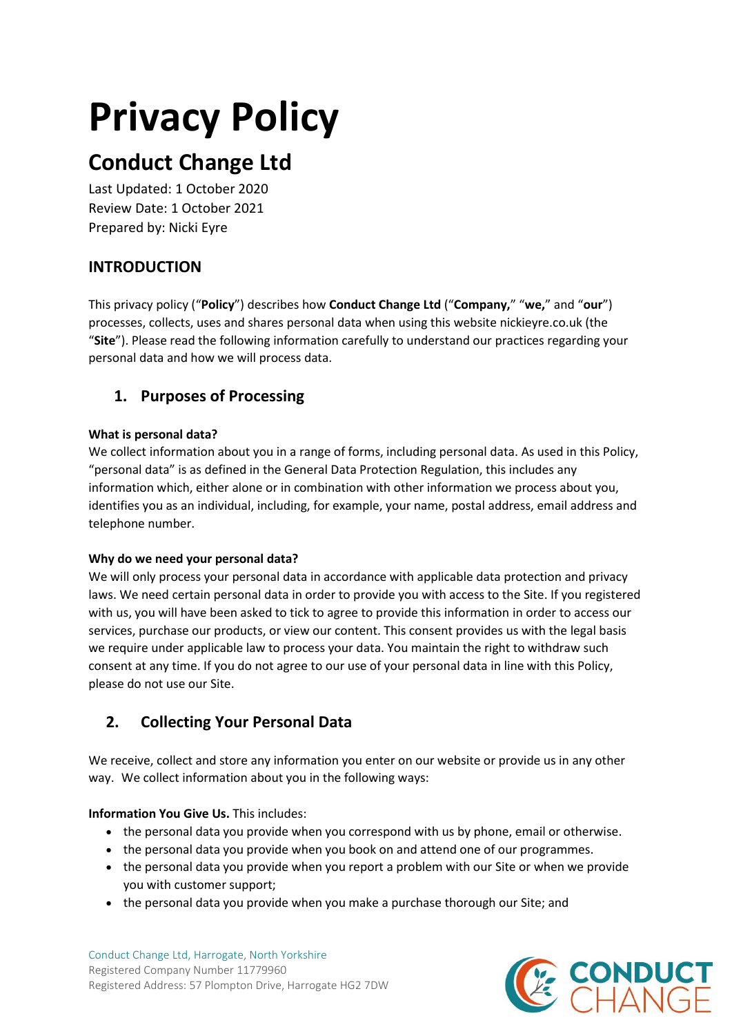# **Privacy Policy**

## **Conduct Change Ltd**

Last Updated: 1 October 2020 Review Date: 1 October 2021 Prepared by: Nicki Eyre

## **INTRODUCTION**

This privacy policy ("**Policy**") describes how **Conduct Change Ltd** ("**Company,**" "**we,**" and "**our**") processes, collects, uses and shares personal data when using this website nickieyre.co.uk (the "**Site**"). Please read the following information carefully to understand our practices regarding your personal data and how we will process data.

## **1. Purposes of Processing**

#### **What is personal data?**

We collect information about you in a range of forms, including personal data. As used in this Policy, "personal data" is as defined in the General Data Protection Regulation, this includes any information which, either alone or in combination with other information we process about you, identifies you as an individual, including, for example, your name, postal address, email address and telephone number.

#### **Why do we need your personal data?**

We will only process your personal data in accordance with applicable data protection and privacy laws. We need certain personal data in order to provide you with access to the Site. If you registered with us, you will have been asked to tick to agree to provide this information in order to access our services, purchase our products, or view our content. This consent provides us with the legal basis we require under applicable law to process your data. You maintain the right to withdraw such consent at any time. If you do not agree to our use of your personal data in line with this Policy, please do not use our Site.

## **2. Collecting Your Personal Data**

We receive, collect and store any information you enter on our website or provide us in any other way. We collect information about you in the following ways:

#### **Information You Give Us.** This includes:

- the personal data you provide when you correspond with us by phone, email or otherwise.
- the personal data you provide when you book on and attend one of our programmes.
- the personal data you provide when you report a problem with our Site or when we provide you with customer support;
- the personal data you provide when you make a purchase thorough our Site; and

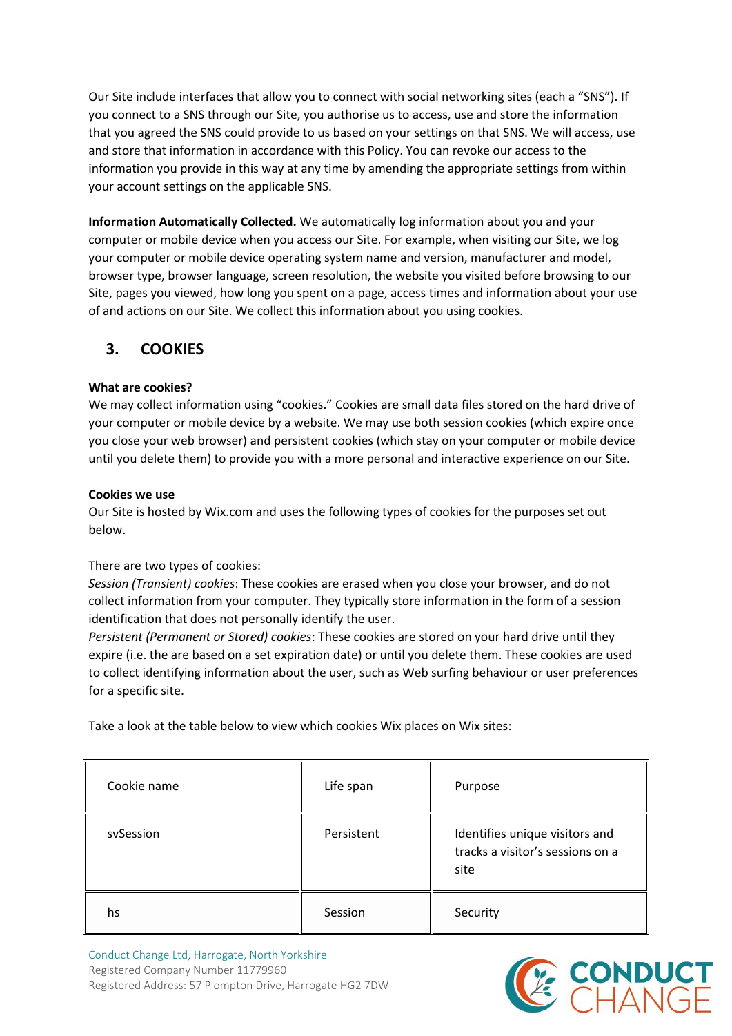Our Site include interfaces that allow you to connect with social networking sites (each a "SNS"). If you connect to a SNS through our Site, you authorise us to access, use and store the information that you agreed the SNS could provide to us based on your settings on that SNS. We will access, use and store that information in accordance with this Policy. You can revoke our access to the information you provide in this way at any time by amending the appropriate settings from within your account settings on the applicable SNS.

**Information Automatically Collected.** We automatically log information about you and your computer or mobile device when you access our Site. For example, when visiting our Site, we log your computer or mobile device operating system name and version, manufacturer and model, browser type, browser language, screen resolution, the website you visited before browsing to our Site, pages you viewed, how long you spent on a page, access times and information about your use of and actions on our Site. We collect this information about you using cookies.

## **3. COOKIES**

#### **What are cookies?**

We may collect information using "cookies." Cookies are small data files stored on the hard drive of your computer or mobile device by a website. We may use both session cookies (which expire once you close your web browser) and persistent cookies (which stay on your computer or mobile device until you delete them) to provide you with a more personal and interactive experience on our Site.

#### **Cookies we use**

Our Site is hosted by Wix.com and uses the following types of cookies for the purposes set out below.

#### There are two types of cookies:

*Session (Transient) cookies*: These cookies are erased when you close your browser, and do not collect information from your computer. They typically store information in the form of a session identification that does not personally identify the user.

*Persistent (Permanent or Stored) cookies*: These cookies are stored on your hard drive until they expire (i.e. the are based on a set expiration date) or until you delete them. These cookies are used to collect identifying information about the user, such as Web surfing behaviour or user preferences for a specific site.

Take a look at the table below to view which cookies Wix places on Wix sites:

| Cookie name | Life span  | Purpose                                                                    |
|-------------|------------|----------------------------------------------------------------------------|
| svSession   | Persistent | Identifies unique visitors and<br>tracks a visitor's sessions on a<br>site |
| hs          | Session    | Security                                                                   |

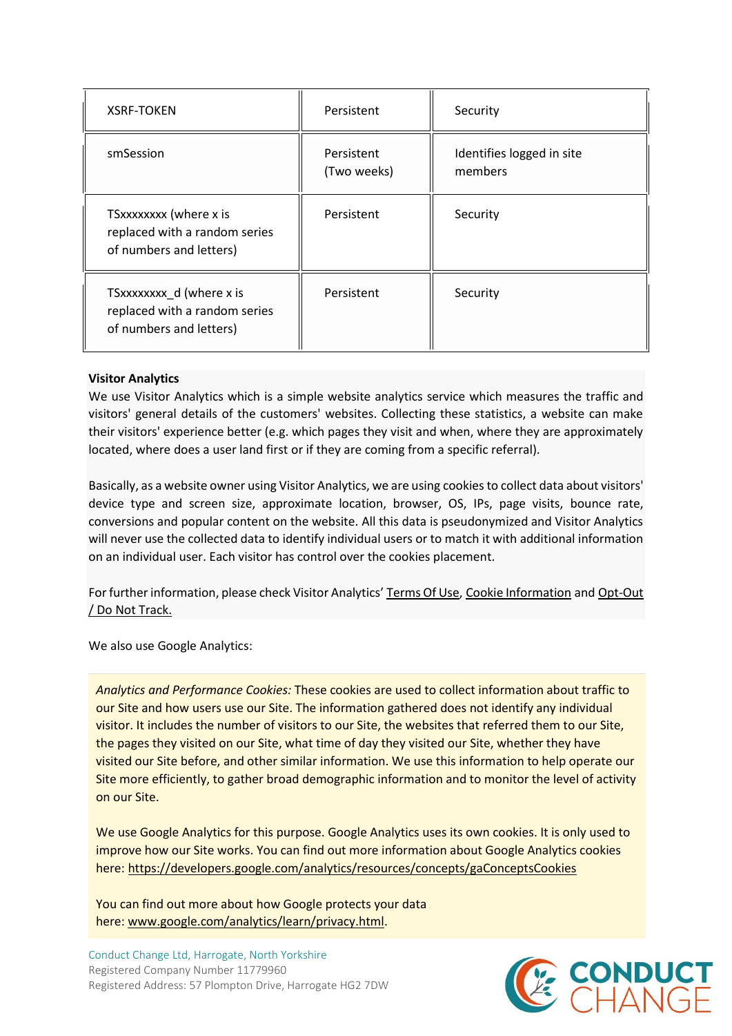| <b>XSRF-TOKEN</b>                                                                    | Persistent                | Security                             |
|--------------------------------------------------------------------------------------|---------------------------|--------------------------------------|
| smSession                                                                            | Persistent<br>(Two weeks) | Identifies logged in site<br>members |
| TSxxxxxxx (where x is<br>replaced with a random series<br>of numbers and letters)    | Persistent                | Security                             |
| TSxxxxxxxx_d (where x is<br>replaced with a random series<br>of numbers and letters) | Persistent                | Security                             |

#### **Visitor Analytics**

We use Visitor Analytics which is a simple website analytics service which measures the traffic and visitors' general details of the customers' websites. Collecting these statistics, a website can make their visitors' experience better (e.g. which pages they visit and when, where they are approximately located, where does a user land first or if they are coming from a specific referral).

Basically, as a website owner using Visitor Analytics, we are using cookies to collect data about visitors' device type and screen size, approximate location, browser, OS, IPs, page visits, bounce rate, conversions and popular content on the website. All this data is pseudonymized and Visitor Analytics will never use the collected data to identify individual users or to match it with additional information on an individual user. Each visitor has control over the cookies placement.

For further information, please check Visitor Analytics' [Terms Of Use,](https://www.visitor-analytics.io/wix-terms-of-use) [Cookie Information](https://www.visitor-analytics.io/cookie-information) and [Opt-Out](https://www.visitor-analytics.io/wix-opt-out-do-not-track)  [/ Do Not Track.](https://www.visitor-analytics.io/wix-opt-out-do-not-track)

We also use Google Analytics:

*Analytics and Performance Cookies:* These cookies are used to collect information about traffic to our Site and how users use our Site. The information gathered does not identify any individual visitor. It includes the number of visitors to our Site, the websites that referred them to our Site, the pages they visited on our Site, what time of day they visited our Site, whether they have visited our Site before, and other similar information. We use this information to help operate our Site more efficiently, to gather broad demographic information and to monitor the level of activity on our Site.

We use Google Analytics for this purpose. Google Analytics uses its own cookies. It is only used to improve how our Site works. You can find out more information about Google Analytics cookies here: <https://developers.google.com/analytics/resources/concepts/gaConceptsCookies>

You can find out more about how Google protects your data here: [www.google.com/analytics/learn/privacy.html.](http://www.google.com/analytics/learn/privacy.html)

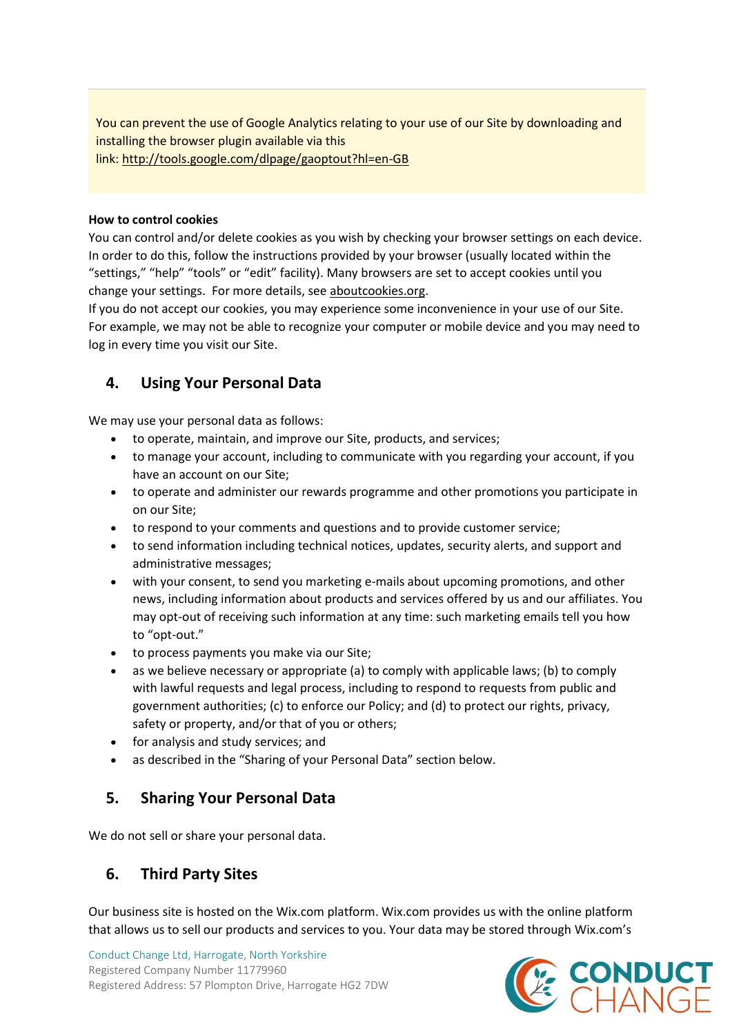You can prevent the use of Google Analytics relating to your use of our Site by downloading and installing the browser plugin available via this link: <http://tools.google.com/dlpage/gaoptout?hl=en-GB>

#### **How to control cookies**

You can control and/or delete cookies as you wish by checking your browser settings on each device. In order to do this, follow the instructions provided by your browser (usually located within the "settings," "help" "tools" or "edit" facility). Many browsers are set to accept cookies until you change your settings. For more details, see [aboutcookies.org.](https://www.aboutcookies.org/)

If you do not accept our cookies, you may experience some inconvenience in your use of our Site. For example, we may not be able to recognize your computer or mobile device and you may need to log in every time you visit our Site.

## **4. Using Your Personal Data**

We may use your personal data as follows:

- to operate, maintain, and improve our Site, products, and services;
- to manage your account, including to communicate with you regarding your account, if you have an account on our Site;
- to operate and administer our rewards programme and other promotions you participate in on our Site;
- to respond to your comments and questions and to provide customer service;
- to send information including technical notices, updates, security alerts, and support and administrative messages;
- with your consent, to send you marketing e-mails about upcoming promotions, and other news, including information about products and services offered by us and our affiliates. You may opt-out of receiving such information at any time: such marketing emails tell you how to "opt-out."
- to process payments you make via our Site;
- as we believe necessary or appropriate (a) to comply with applicable laws; (b) to comply with lawful requests and legal process, including to respond to requests from public and government authorities; (c) to enforce our Policy; and (d) to protect our rights, privacy, safety or property, and/or that of you or others;
- for analysis and study services; and
- as described in the "Sharing of your Personal Data" section below.

## **5. Sharing Your Personal Data**

We do not sell or share your personal data.

## **6. Third Party Sites**

Our business site is hosted on the Wix.com platform. Wix.com provides us with the online platform that allows us to sell our products and services to you. Your data may be stored through Wix.com's

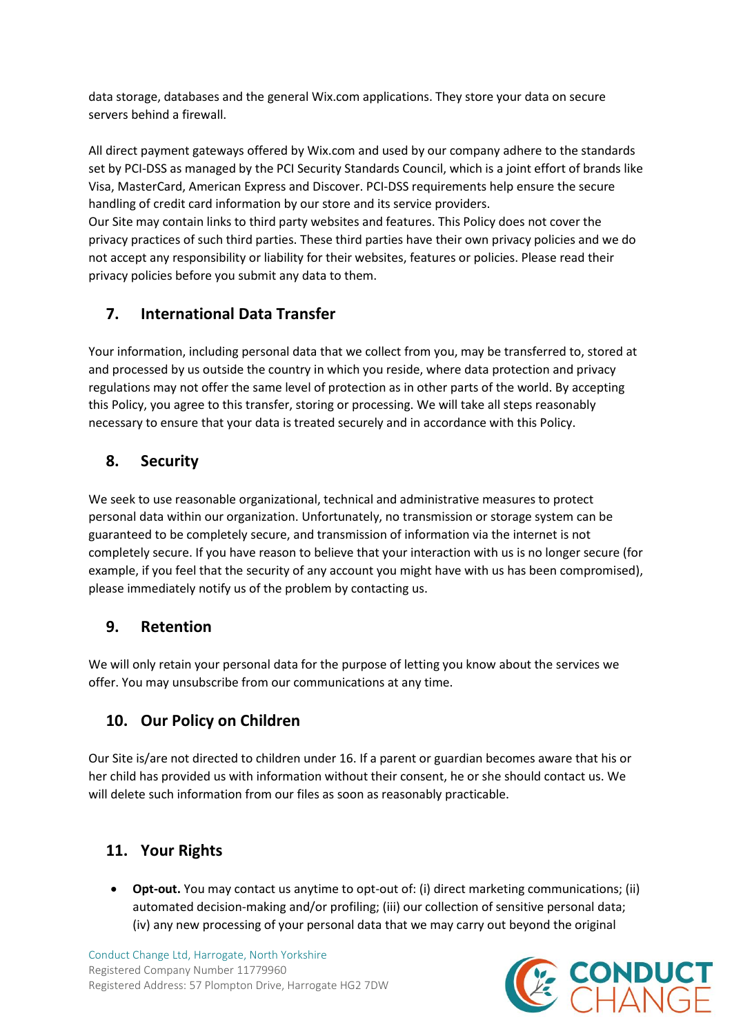data storage, databases and the general Wix.com applications. They store your data on secure servers behind a firewall.

All direct payment gateways offered by Wix.com and used by our company adhere to the standards set by PCI-DSS as managed by the PCI Security Standards Council, which is a joint effort of brands like Visa, MasterCard, American Express and Discover. PCI-DSS requirements help ensure the secure handling of credit card information by our store and its service providers.

Our Site may contain links to third party websites and features. This Policy does not cover the privacy practices of such third parties. These third parties have their own privacy policies and we do not accept any responsibility or liability for their websites, features or policies. Please read their privacy policies before you submit any data to them.

## **7. International Data Transfer**

Your information, including personal data that we collect from you, may be transferred to, stored at and processed by us outside the country in which you reside, where data protection and privacy regulations may not offer the same level of protection as in other parts of the world. By accepting this Policy, you agree to this transfer, storing or processing. We will take all steps reasonably necessary to ensure that your data is treated securely and in accordance with this Policy.

## **8. Security**

We seek to use reasonable organizational, technical and administrative measures to protect personal data within our organization. Unfortunately, no transmission or storage system can be guaranteed to be completely secure, and transmission of information via the internet is not completely secure. If you have reason to believe that your interaction with us is no longer secure (for example, if you feel that the security of any account you might have with us has been compromised), please immediately notify us of the problem by contacting us.

## **9. Retention**

We will only retain your personal data for the purpose of letting you know about the services we offer. You may unsubscribe from our communications at any time.

## **10. Our Policy on Children**

Our Site is/are not directed to children under 16. If a parent or guardian becomes aware that his or her child has provided us with information without their consent, he or she should contact us. We will delete such information from our files as soon as reasonably practicable.

## **11. Your Rights**

• **Opt-out.** You may contact us anytime to opt-out of: (i) direct marketing communications; (ii) automated decision-making and/or profiling; (iii) our collection of sensitive personal data; (iv) any new processing of your personal data that we may carry out beyond the original